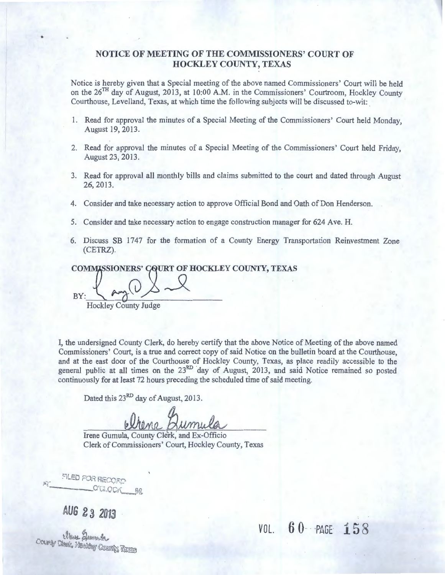#### **NOTICE OF MEETING OF THE COMMISSIONERS' COURT OF HOCKLEY COUNTY, TEXAS**

Notice is hereby given that a Special meeting of the above named Commissioners' Court will be held on the  $26<sup>TH</sup>$  day of August, 2013, at 10:00 A.M. in the Commissioners' Courtroom, Hockley County Courthouse, Levelland, Texas, at which time the following subjects will be discussed to-wit: .

- 1. Read for approval the minutes of a Special Meeting of the Commissioners' Court held Monday, August 19, 2013.
- 2. Read for approval the minutes of a Special Meeting of the Commissioners' Court held Friday, August 23, 2013.
- 3. Read for approval all monthly bills and claims submitted to the court and dated through August 26, 2013.
- 4. Consider and take necessary action to approve Official Bond and Oath of Don Henderson.
- 5. Consider and take necessary action to engage construction manager for 624 Ave. H.
- 6. Discuss SB 1747 for the formation of a County Energy Transportation Reinvestment Zone (CETRZ).

COMMISSIONERS' CQURT OF HOCKLEY COUNTY, TEXAS

 $By: \mathcal{I}$  angles Hockley County Judge

•

I, the undersigned County Clerk, do hereby certify that the above Notice of Meeting of the above named Commissioners' Court, is a true and correct copy of said Notice on the bulletin board at the Courthouse, and at the east door of the Courthouse of Hockley County, Texas, as place readily accessible to the general public at all times on the 23<sup>RD</sup> day of August, 2013, and said Notice remained so posted continuously for at least 72 hours preceding the scheduled time of said meeting.

Dated this 23<sup>RD</sup> day of August, 2013.

Drene Qumula

Irene Gumula, County Clerk, and Ex-Officio Clerk of Commissioners' Court, Hockley County, Texas

FILED FOR RECORD O'GLOGK AR

AUG 23 2013

Anne Anne A.

 $VOL. 60 - PAGE 158$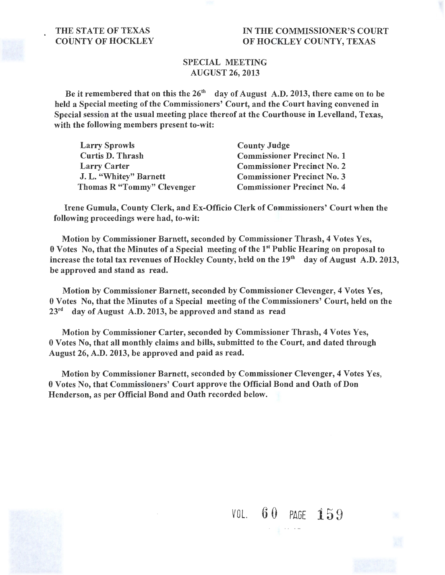#### THE STATE OF TEXAS COUNTY OF HOCKLEY

#### IN THE COMMISSIONER'S COURT OF HOCKLEY COUNTY, TEXAS

#### SPECIAL MEETING AUGUST 26, 2013

Be it remembered that on this the  $26<sup>th</sup>$  day of August A.D. 2013, there came on to be held a Special meeting of the Commissioners' Court, and the Court having convened in Special session at the usual meeting place thereof at the Courthouse in Levelland, Texas, with the following members present to-wit:

| <b>Larry Sprowls</b>       | <b>County Judge</b>                |
|----------------------------|------------------------------------|
| <b>Curtis D. Thrash</b>    | <b>Commissioner Precinct No. 1</b> |
| <b>Larry Carter</b>        | <b>Commissioner Precinct No. 2</b> |
| J. L. "Whitey" Barnett     | <b>Commissioner Precinct No. 3</b> |
| Thomas R "Tommy" Clevenger | <b>Commissioner Precinct No. 4</b> |

Irene Gumula, County Clerk, and Ex-Officio Clerk of Commissioners' Court when the following proceedings were had, to-wit:

Motion by Commissioner Barnett, seconded by Commissioner Thrash, 4 Votes Yes, 0 Votes No, that the Minutes of a Special meeting of the 1st Public Hearing on proposal to increase the total tax revenues of Hockley County, held on the 19<sup>th</sup> day of August A.D. 2013, be approved and stand as read.

Motion by Commissioner Barnett, seconded by Commissioner Clevenger, 4 Votes Yes, 0 Votes No, that the Minutes of a Special meeting of the Commissioners' Court, held on the  $23<sup>rd</sup>$  day of August A.D. 2013, be approved and stand as read

Motion by Commissioner Carter, seconded by Commissioner Thrash, 4 Votes Yes, 0 Votes No, that all monthly claims and bills, submitted to the Court, and dated through August 26, A.D. 2013, be approved and paid as read.

Motion by Commissioner Barnett, seconded by Commissioner Clevenger, 4 Votes Yes, 0 Votes No, that Commissioners' Court approve the Official Bond and Oath of Don Henderson, as per Official Bond and Oath recorded below.

VOL. 6 0 PAGE 159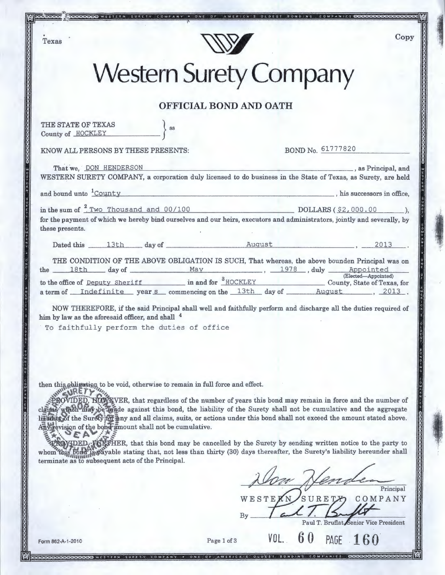Texas



 $O F$ 

SURETY COMPANY . ONE

SS

# **Western Surety Company**

### **OFFICIAL BOND AND OATH**

THE STATE OF TEXAS County of HOCKLEY

KNOW ALL PERSONS BY THESE PRESENTS: BOND No.  $61777820$ 

AMERICA'S OLDEST BONDING COMPANIES

Copy

., 1: .... i ;j~ \

'

| That we. DON HENDERSON<br>WESTERN SURETY COMPANY, a corporation duly licensed to do business in the State of Texas, as Surety, are held                                 | as Principal, and         |
|-------------------------------------------------------------------------------------------------------------------------------------------------------------------------|---------------------------|
| and bound unto <u>County</u>                                                                                                                                            | his successors in office, |
| in the sum of $\frac{2 \text{ Two}}{2}$ Two Thousand and 00/100 DOLLARS (\$2,000.00 ),                                                                                  |                           |
| for the payment of which we hereby bind ourselves and our heirs, executors and administrators, jointly and severally, by                                                |                           |
| these presents.                                                                                                                                                         |                           |
| Dated this 13th day of Rugust 2013.                                                                                                                                     |                           |
| THE CONDITION OF THE ABOVE OBLIGATION IS SUCH, That whereas, the above bounden Principal was on                                                                         |                           |
| the 18th day of May May, 1978, duly Appointed Elected-Appointed<br>to the office of Deputy Sheriff in and for $\frac{8 \text{ HOCKLEY}}{2}$ County, State of Texas, for |                           |
|                                                                                                                                                                         |                           |
| a term of Indefinite year s commencing on the 13th day of August 4. 2013.                                                                                               |                           |

NOW THEREFORE, if the said Principal shall well and faithfully perform and discharge all the duties required of him by law as the aforesaid officer, and shall  $4$ 

To faithfully perform the duties of office

then this abligation to be void, otherwise to remain in full force and effect.

**PROVIDED, HOWEVER**, that regardless of the number of years this bond may remain in force and the number of claims which may be made against this bond, the liability of the Surety shall not be cumulative and the aggregate liakility of the Surety for any and all claims, suits, or actions under this bond shall not exceed the amount stated above.  $\overline{AB}$   $\overline{AB}$  evision of the bond amount shall not be cumulative.

~DED'-iJ~ER, that this bond may be cancelled by the Surety by sending written notice to the party to 'lf.<sup>1</sup> whom this bond is payable stating that, not less than thirty (30) days thereafter, the Surety's liability hereunder shall terminate as to subsequent acts of the Principal.

WESTE

~£\_\_\_ Principal

SURETX

Paul T. Bruflat Senior Vice President

COMPANY

Form 862-A-1-2010<br>Science Cool Cool Cool West ERN SURETY COMPANY • ONE OF AMERICALS OLDEST BONDING COMPANIES COOL

' '. י<br>|<br>|<br>|<br>|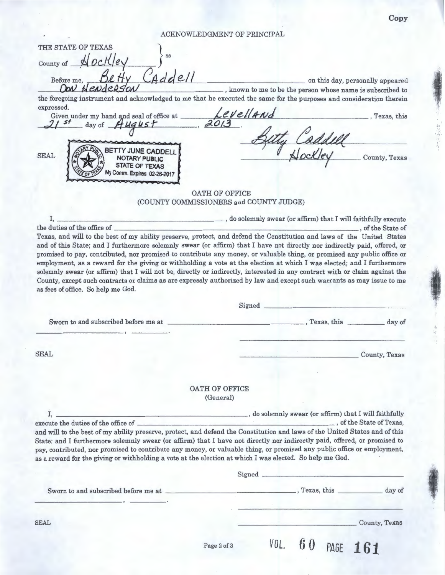Copy

**BUS** 

'a

 $\frac{1}{2}$  $\ddot{\phantom{a}}$  $\mathbf{r}$ 

 $56,$ 

海辺れた

I I , I . *iP* 

ACKNOWLEDGMENT OF PRINCIPAL

| THE STATE OF TEXAS                                                                                       |                                                                                                                             |
|----------------------------------------------------------------------------------------------------------|-----------------------------------------------------------------------------------------------------------------------------|
|                                                                                                          |                                                                                                                             |
| Nockley<br>County of __                                                                                  |                                                                                                                             |
| Before me,                                                                                               | on this day, personally appeared                                                                                            |
| NENGERSON                                                                                                | , known to me to be the person whose name is subscribed to                                                                  |
|                                                                                                          | the foregoing instrument and acknowledged to me that he executed the same for the purposes and consideration therein        |
| expressed.                                                                                               |                                                                                                                             |
| Given under my hand and seal of office at Levelland<br>21 st day of August 2013                          | , Texas, this                                                                                                               |
|                                                                                                          |                                                                                                                             |
|                                                                                                          |                                                                                                                             |
| <b>F CADDEL</b>                                                                                          | Caddley<br>1/201/01 County, Texas                                                                                           |
| <b>SEAL</b>                                                                                              |                                                                                                                             |
| Comm. Expires 02-26-2017                                                                                 |                                                                                                                             |
|                                                                                                          |                                                                                                                             |
|                                                                                                          | OATH OF OFFICE                                                                                                              |
|                                                                                                          | (COUNTY COMMISSIONERS and COUNTY JUDGE)                                                                                     |
|                                                                                                          |                                                                                                                             |
| I.                                                                                                       | , do solemnly swear (or affirm) that I will faithfully execute                                                              |
| the duties of the office of                                                                              | of the State of                                                                                                             |
|                                                                                                          | Texas, and will to the best of my ability preserve, protect, and defend the Constitution and laws of the United States      |
|                                                                                                          | and of this State; and I furthermore solemnly swear (or affirm) that I have not directly nor indirectly paid, offered, or   |
|                                                                                                          | promised to pay, contributed, nor promised to contribute any money, or valuable thing, or promised any public office or     |
|                                                                                                          | employment, as a reward for the giving or withholding a vote at the election at which I was elected; and I furthermore      |
|                                                                                                          | solemnly swear (or affirm) that I will not be, directly or indirectly, interested in any contract with or claim against the |
|                                                                                                          | County, except such contracts or claims as are expressly authorized by law and except such warrants as may issue to me      |
| as fees of office. So help me God.                                                                       |                                                                                                                             |
|                                                                                                          | Signed                                                                                                                      |
|                                                                                                          |                                                                                                                             |
|                                                                                                          |                                                                                                                             |
|                                                                                                          |                                                                                                                             |
|                                                                                                          |                                                                                                                             |
|                                                                                                          |                                                                                                                             |
|                                                                                                          | County, Texas                                                                                                               |
|                                                                                                          |                                                                                                                             |
|                                                                                                          |                                                                                                                             |
|                                                                                                          |                                                                                                                             |
|                                                                                                          | <b>OATH OF OFFICE</b><br>(General)                                                                                          |
|                                                                                                          |                                                                                                                             |
| I.                                                                                                       | $\hspace{1.5cm}$ , do solemnly swear (or affirm) that I will faithfully                                                     |
|                                                                                                          | of the State of Texas,                                                                                                      |
|                                                                                                          | and will to the best of my ability preserve, protect, and defend the Constitution and laws of the United States and of this |
| <b>SEAL</b><br>execute the duties of the office of                                                       | State; and I furthermore solemnly swear (or affirm) that I have not directly nor indirectly paid, offered, or promised to   |
|                                                                                                          | pay, contributed, nor promised to contribute any money, or valuable thing, or promised any public office or employment,     |
| as a reward for the giving or withholding a vote at the election at which I was elected. So help me God. |                                                                                                                             |
|                                                                                                          | Signed                                                                                                                      |
|                                                                                                          |                                                                                                                             |
|                                                                                                          |                                                                                                                             |
|                                                                                                          |                                                                                                                             |
|                                                                                                          |                                                                                                                             |
| <b>SEAL</b>                                                                                              | County, Texas                                                                                                               |
|                                                                                                          |                                                                                                                             |
|                                                                                                          | VOL.<br>60<br>PAGE 161<br>Page 2 of 3                                                                                       |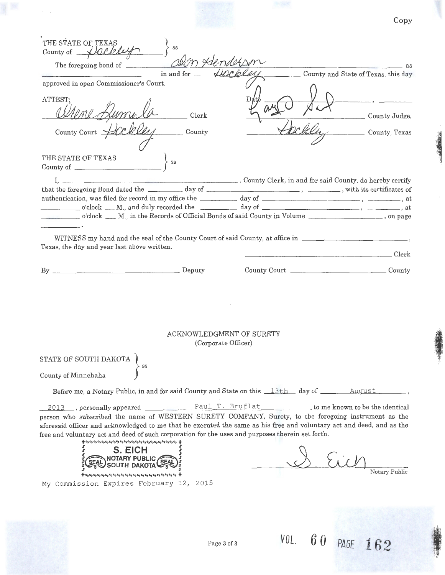|                                                                                                                                                                                                                                                                                                                                                                                                                      |                                                 |                                     | Copy          |
|----------------------------------------------------------------------------------------------------------------------------------------------------------------------------------------------------------------------------------------------------------------------------------------------------------------------------------------------------------------------------------------------------------------------|-------------------------------------------------|-------------------------------------|---------------|
| THE STATE OF TEXAS<br>SS<br>County of Dackley                                                                                                                                                                                                                                                                                                                                                                        |                                                 |                                     |               |
| The foregoing bond of<br>$\frac{1}{2}$ in and for $\frac{1}{2}$                                                                                                                                                                                                                                                                                                                                                      |                                                 |                                     | <u>as</u> as  |
| approved in open Commissioner's Court.                                                                                                                                                                                                                                                                                                                                                                               |                                                 | County and State of Texas, this day |               |
| ATTEST:                                                                                                                                                                                                                                                                                                                                                                                                              |                                                 |                                     |               |
|                                                                                                                                                                                                                                                                                                                                                                                                                      | Clerk                                           |                                     | County Judge, |
| County Court __                                                                                                                                                                                                                                                                                                                                                                                                      | County                                          |                                     | County, Texas |
| THE STATE OF TEXAS                                                                                                                                                                                                                                                                                                                                                                                                   |                                                 |                                     |               |
| County of                                                                                                                                                                                                                                                                                                                                                                                                            |                                                 |                                     |               |
|                                                                                                                                                                                                                                                                                                                                                                                                                      |                                                 |                                     |               |
|                                                                                                                                                                                                                                                                                                                                                                                                                      |                                                 |                                     |               |
| o'clock ___ M., in the Records of Official Bonds of said County in Volume ____________________, on page                                                                                                                                                                                                                                                                                                              |                                                 |                                     |               |
| Texas, the day and year last above written.                                                                                                                                                                                                                                                                                                                                                                          |                                                 |                                     | Clerk         |
|                                                                                                                                                                                                                                                                                                                                                                                                                      |                                                 |                                     |               |
|                                                                                                                                                                                                                                                                                                                                                                                                                      | ACKNOWLEDGMENT OF SURETY<br>(Corporate Officer) |                                     |               |
| STATE OF SOUTH DAKOTA $\Bigg\}$ $_{\rm ss}$<br>County of Minnehaha                                                                                                                                                                                                                                                                                                                                                   |                                                 |                                     |               |
| Before me, a Notary Public, in and for said County and State on this 13th day of August                                                                                                                                                                                                                                                                                                                              |                                                 |                                     |               |
| person who subscribed the name of WESTERN SURETY COMPANY, Surety, to the foregoing instrument as the<br>aforesaid officer and acknowledged to me that he executed the same as his free and voluntary act and deed, and as the<br>free and voluntary act and deed of such corporation for the uses and purposes therein set forth.<br>S. EICH<br>SEAL NOTARY PUBLIC (SEAL)<br>My Commission Expires February 12, 2015 |                                                 | S. Eich                             | Notary Public |
|                                                                                                                                                                                                                                                                                                                                                                                                                      |                                                 |                                     |               |

*VOL. 60* PAGE *<sup>162</sup>*'

**. In 1 A** i. ik.

 $\frac{1}{3}$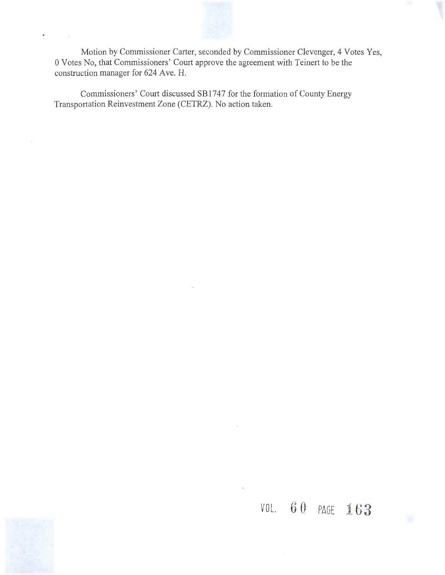

Motion by Commissioner Carter, seconded by Commissioner Clevenger, 4 Votes Yes, 0 Votes No, that Commissioners' Court approve the agreement with Teinert to be the construction manager for 624 Ave. H.

Commissioners' Court discussed SB1747 for the formation of County Energy Transportation Reinvestment Zone (CETRZ). No action taken.

## *VOL.*  $60$  PAGE  $163$